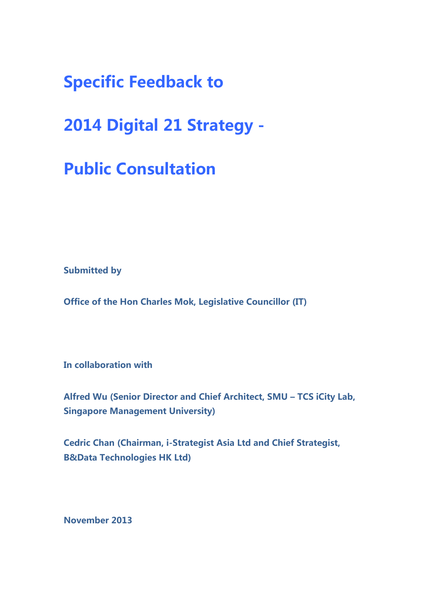**Specific Feedback to** 

**2014 Digital 21 Strategy -** 

**Public Consultation** 

**Submitted by** 

**Office of the Hon Charles Mok, Legislative Councillor (IT)** 

**In collaboration with** 

**Alfred Wu (Senior Director and Chief Architect, SMU – TCS iCity Lab, Singapore Management University)** 

**Cedric Chan (Chairman, i-Strategist Asia Ltd and Chief Strategist, B&Data Technologies HK Ltd)** 

**November 2013**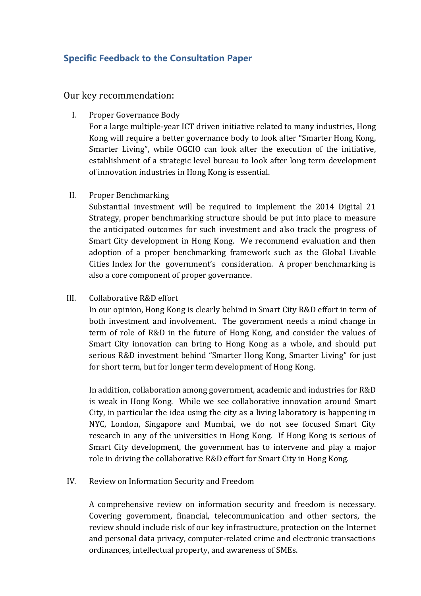## **Specific Feedback to the Consultation Paper**

Our key recommendation:

I. Proper Governance Body

For a large multiple-year ICT driven initiative related to many industries, Hong Kong will require a better governance body to look after "Smarter Hong Kong, Smarter Living", while OGCIO can look after the execution of the initiative, establishment of a strategic level bureau to look after long term development of innovation industries in Hong Kong is essential.

II. Proper Benchmarking

Substantial investment will be required to implement the 2014 Digital 21 Strategy, proper benchmarking structure should be put into place to measure the anticipated outcomes for such investment and also track the progress of Smart City development in Hong Kong. We recommend evaluation and then adoption of a proper benchmarking framework such as the Global Livable Cities Index for the government's consideration. A proper benchmarking is also a core component of proper governance.

III. Collaborative R&D effort

In our opinion, Hong Kong is clearly behind in Smart City R&D effort in term of both investment and involvement. The government needs a mind change in term of role of R&D in the future of Hong Kong, and consider the values of Smart City innovation can bring to Hong Kong as a whole, and should put serious R&D investment behind "Smarter Hong Kong, Smarter Living" for just for short term, but for longer term development of Hong Kong.

In addition, collaboration among government, academic and industries for R&D is weak in Hong Kong. While we see collaborative innovation around Smart City, in particular the idea using the city as a living laboratory is happening in NYC, London, Singapore and Mumbai, we do not see focused Smart City research in any of the universities in Hong Kong. If Hong Kong is serious of Smart City development, the government has to intervene and play a major role in driving the collaborative R&D effort for Smart City in Hong Kong.

IV. Review on Information Security and Freedom

A comprehensive review on information security and freedom is necessary. Covering government, financial, telecommunication and other sectors, the review should include risk of our key infrastructure, protection on the Internet and personal data privacy, computer-related crime and electronic transactions ordinances, intellectual property, and awareness of SMEs.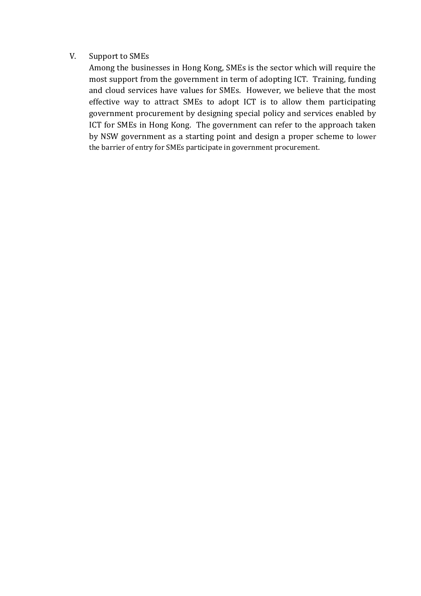## V. Support to SMEs

Among the businesses in Hong Kong, SMEs is the sector which will require the most support from the government in term of adopting ICT. Training, funding and cloud services have values for SMEs. However, we believe that the most effective way to attract SMEs to adopt ICT is to allow them participating government procurement by designing special policy and services enabled by ICT for SMEs in Hong Kong. The government can refer to the approach taken by NSW government as a starting point and design a proper scheme to lower the barrier of entry for SMEs participate in government procurement.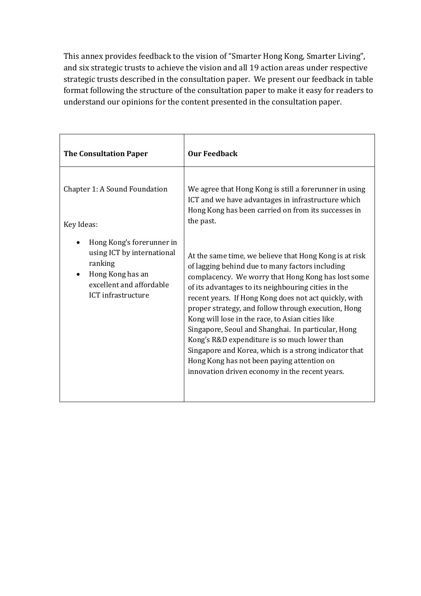This annex provides feedback to the vision of "Smarter Hong Kong, Smarter Living", and six strategic trusts to achieve the vision and all 19 action areas under respective strategic trusts described in the consultation paper. We present our feedback in table format following the structure of the consultation paper to make it easy for readers to understand our opinions for the content presented in the consultation paper.

| <b>The Consultation Paper</b>                                                                                                                         | <b>Our Feedback</b>                                                                                                                                                                                                                                                                                                                                                                                                                                                                                                                                                                                                                                       |
|-------------------------------------------------------------------------------------------------------------------------------------------------------|-----------------------------------------------------------------------------------------------------------------------------------------------------------------------------------------------------------------------------------------------------------------------------------------------------------------------------------------------------------------------------------------------------------------------------------------------------------------------------------------------------------------------------------------------------------------------------------------------------------------------------------------------------------|
| Chapter 1: A Sound Foundation<br>Key Ideas:                                                                                                           | We agree that Hong Kong is still a forerunner in using<br>ICT and we have advantages in infrastructure which<br>Hong Kong has been carried on from its successes in<br>the past.                                                                                                                                                                                                                                                                                                                                                                                                                                                                          |
| Hong Kong's forerunner in<br>using ICT by international<br>ranking<br>Hong Kong has an<br>$\bullet$<br>excellent and affordable<br>ICT infrastructure | At the same time, we believe that Hong Kong is at risk<br>of lagging behind due to many factors including<br>complacency. We worry that Hong Kong has lost some<br>of its advantages to its neighbouring cities in the<br>recent years. If Hong Kong does not act quickly, with<br>proper strategy, and follow through execution, Hong<br>Kong will lose in the race, to Asian cities like<br>Singapore, Seoul and Shanghai. In particular, Hong<br>Kong's R&D expenditure is so much lower than<br>Singapore and Korea, which is a strong indicator that<br>Hong Kong has not been paying attention on<br>innovation driven economy in the recent years. |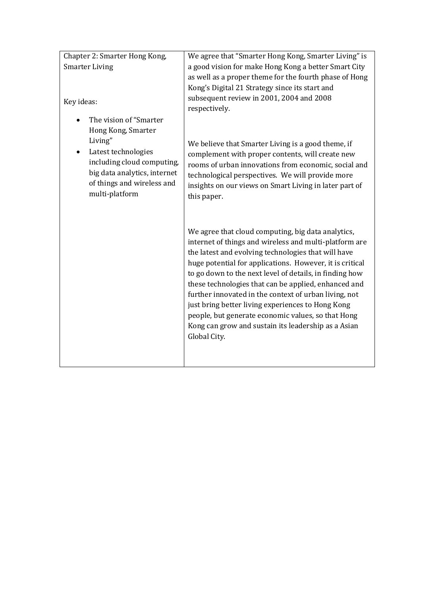| Chapter 2: Smarter Hong Kong,                                                                                                                | We agree that "Smarter Hong Kong, Smarter Living" is                                                                                                                                                                                                                                                                                                                                                                                                                                                                                                                                          |
|----------------------------------------------------------------------------------------------------------------------------------------------|-----------------------------------------------------------------------------------------------------------------------------------------------------------------------------------------------------------------------------------------------------------------------------------------------------------------------------------------------------------------------------------------------------------------------------------------------------------------------------------------------------------------------------------------------------------------------------------------------|
| <b>Smarter Living</b>                                                                                                                        | a good vision for make Hong Kong a better Smart City                                                                                                                                                                                                                                                                                                                                                                                                                                                                                                                                          |
|                                                                                                                                              | as well as a proper theme for the fourth phase of Hong                                                                                                                                                                                                                                                                                                                                                                                                                                                                                                                                        |
|                                                                                                                                              | Kong's Digital 21 Strategy since its start and                                                                                                                                                                                                                                                                                                                                                                                                                                                                                                                                                |
| Key ideas:                                                                                                                                   | subsequent review in 2001, 2004 and 2008<br>respectively.                                                                                                                                                                                                                                                                                                                                                                                                                                                                                                                                     |
| The vision of "Smarter                                                                                                                       |                                                                                                                                                                                                                                                                                                                                                                                                                                                                                                                                                                                               |
| Hong Kong, Smarter                                                                                                                           |                                                                                                                                                                                                                                                                                                                                                                                                                                                                                                                                                                                               |
| Living"<br>Latest technologies<br>including cloud computing,<br>big data analytics, internet<br>of things and wireless and<br>multi-platform | We believe that Smarter Living is a good theme, if<br>complement with proper contents, will create new<br>rooms of urban innovations from economic, social and<br>technological perspectives. We will provide more<br>insights on our views on Smart Living in later part of<br>this paper.                                                                                                                                                                                                                                                                                                   |
|                                                                                                                                              | We agree that cloud computing, big data analytics,<br>internet of things and wireless and multi-platform are<br>the latest and evolving technologies that will have<br>huge potential for applications. However, it is critical<br>to go down to the next level of details, in finding how<br>these technologies that can be applied, enhanced and<br>further innovated in the context of urban living, not<br>just bring better living experiences to Hong Kong<br>people, but generate economic values, so that Hong<br>Kong can grow and sustain its leadership as a Asian<br>Global City. |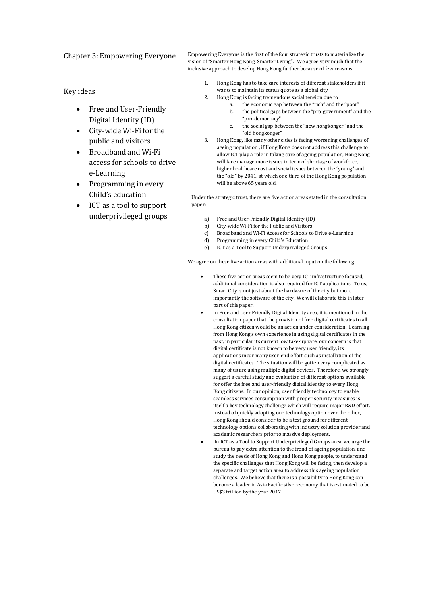| <b>Chapter 3: Empowering Everyone</b> | Empowering Everyone is the first of the four strategic trusts to materialize the                                                                |
|---------------------------------------|-------------------------------------------------------------------------------------------------------------------------------------------------|
|                                       | vision of "Smarter Hong Kong, Smarter Living". We agree very much that the                                                                      |
|                                       | inclusive approach to develop Hong Kong further because of few reasons:                                                                         |
|                                       | Hong Kong has to take care interests of different stakeholders if it<br>1.                                                                      |
| Key ideas                             | wants to maintain its status quote as a global city                                                                                             |
|                                       | 2.<br>Hong Kong is facing tremendous social tension due to                                                                                      |
| Free and User-Friendly                | the economic gap between the "rich" and the "poor"<br>a.<br>the political gaps between the "pro-government" and the<br>b.                       |
| Digital Identity (ID)                 | "pro-democracy"                                                                                                                                 |
|                                       | the social gap between the "new hongkonger" and the<br>c.                                                                                       |
| City-wide Wi-Fi for the<br>٠          | "old hongkonger"                                                                                                                                |
| public and visitors                   | 3.<br>Hong Kong, like many other cities is facing worsening challenges of<br>ageing population, if Hong Kong does not address this challenge to |
| Broadband and Wi-Fi                   | allow ICT play a role in taking care of ageing population, Hong Kong                                                                            |
| access for schools to drive           | will face manage more issues in term of shortage of workforce,                                                                                  |
| e-Learning                            | higher healthcare cost and social issues between the "young" and                                                                                |
|                                       | the "old" by 2041, at which one third of the Hong Kong population<br>will be above 65 years old.                                                |
| Programming in every                  |                                                                                                                                                 |
| Child's education                     | Under the strategic trust, there are five action areas stated in the consultation                                                               |
| ICT as a tool to support<br>$\bullet$ | paper:                                                                                                                                          |
| underprivileged groups                |                                                                                                                                                 |
|                                       | Free and User-Friendly Digital Identity (ID)<br>a)<br>City-wide Wi-Fi for the Public and Visitors<br>b)                                         |
|                                       | Broadband and Wi-Fi Access for Schools to Drive e-Learning<br>c)                                                                                |
|                                       | d)<br>Programming in every Child's Education                                                                                                    |
|                                       | ICT as a Tool to Support Underprivileged Groups<br>e)                                                                                           |
|                                       | We agree on these five action areas with additional input on the following:                                                                     |
|                                       | These five action areas seem to be very ICT infrastructure focused,                                                                             |
|                                       | additional consideration is also required for ICT applications. To us,                                                                          |
|                                       | Smart City is not just about the hardware of the city but more                                                                                  |
|                                       | importantly the software of the city. We will elaborate this in later<br>part of this paper.                                                    |
|                                       | In Free and User Friendly Digital Identity area, it is mentioned in the<br>$\bullet$                                                            |
|                                       | consultation paper that the provision of free digital certificates to all                                                                       |
|                                       | Hong Kong citizen would be an action under consideration. Learning                                                                              |
|                                       | from Hong Kong's own experience in using digital certificates in the                                                                            |
|                                       | past, in particular its current low take-up rate, our concern is that<br>digital certificate is not known to be very user friendly, its         |
|                                       | applications incur many user-end effort such as installation of the                                                                             |
|                                       | digital certificates. The situation will be gotten very complicated as                                                                          |
|                                       | many of us are using multiple digital devices. Therefore, we strongly                                                                           |
|                                       | suggest a careful study and evaluation of different options available<br>for offer the free and user-friendly digital identity to every Hong    |
|                                       | Kong citizens. In our opinion, user friendly technology to enable                                                                               |
|                                       | seamless services consumption with proper security measures is                                                                                  |
|                                       | itself a key technology challenge which will require major R&D effort.                                                                          |
|                                       | Instead of quickly adopting one technology option over the other,                                                                               |
|                                       | Hong Kong should consider to be a test ground for different<br>technology options collaborating with industry solution provider and             |
|                                       | academic researchers prior to massive deployment.                                                                                               |
|                                       | In ICT as a Tool to Support Underprivileged Groups area, we urge the                                                                            |
|                                       | bureau to pay extra attention to the trend of ageing population, and                                                                            |
|                                       | study the needs of Hong Kong and Hong Kong people, to understand<br>the specific challenges that Hong Kong will be facing, then develop a       |
|                                       | separate and target action area to address this ageing population                                                                               |
|                                       | challenges. We believe that there is a possibility to Hong Kong can                                                                             |
|                                       | become a leader in Asia Pacific silver economy that is estimated to be                                                                          |
|                                       | US\$3 trillion by the year 2017.                                                                                                                |
|                                       |                                                                                                                                                 |
|                                       |                                                                                                                                                 |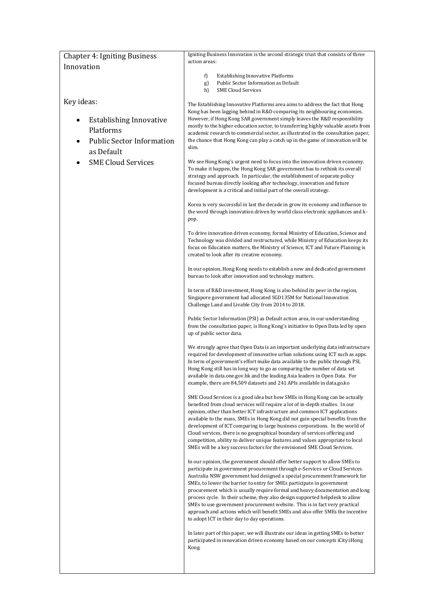| <b>Chapter 4: Igniting Business</b>                                                                                                   | Igniting Business Innovation is the second strategic trust that consists of three                                                                                                                                                                                                                                                                                                                                                                                                                                                                                                                                                                                                                 |
|---------------------------------------------------------------------------------------------------------------------------------------|---------------------------------------------------------------------------------------------------------------------------------------------------------------------------------------------------------------------------------------------------------------------------------------------------------------------------------------------------------------------------------------------------------------------------------------------------------------------------------------------------------------------------------------------------------------------------------------------------------------------------------------------------------------------------------------------------|
| Innovation                                                                                                                            | action areas:                                                                                                                                                                                                                                                                                                                                                                                                                                                                                                                                                                                                                                                                                     |
|                                                                                                                                       | <b>Establishing Innovative Platforms</b><br>f)<br>Public Sector Information as Default<br>g)<br>h)<br><b>SME Cloud Services</b>                                                                                                                                                                                                                                                                                                                                                                                                                                                                                                                                                                   |
| Key ideas:<br><b>Establishing Innovative</b><br>$\bullet$<br>Platforms<br><b>Public Sector Information</b><br>$\bullet$<br>as Default | The Establishing Innovative Platforms area aims to address the fact that Hong<br>Kong has been lagging behind in R&D comparing its neighbouring economies.<br>However, if Hong Kong SAR government simply leaves the R&D responsibility<br>mostly to the higher education sector, to transferring highly valuable assets from<br>academic research to commercial sector, as illustrated in the consultation paper,<br>the chance that Hong Kong can play a catch up in the game of innovation will be<br>slim.                                                                                                                                                                                    |
| <b>SME Cloud Services</b>                                                                                                             | We see Hong Kong's urgent need to focus into the innovation driven economy.<br>To make it happen, the Hong Kong SAR government has to rethink its overall<br>strategy and approach. In particular, the establishment of separate policy<br>focused bureau directly looking after technology, innovation and future<br>development is a critical and initial part of the overall strategy.                                                                                                                                                                                                                                                                                                         |
|                                                                                                                                       | Korea is very successful in last the decade in grow its economy and influence to<br>the word through innovation driven by world class electronic appliances and k-<br>pop.                                                                                                                                                                                                                                                                                                                                                                                                                                                                                                                        |
|                                                                                                                                       | To drive innovation driven economy, formal Ministry of Education, Science and<br>Technology was divided and restructured, while Ministry of Education keeps its<br>focus on Education matters, the Ministry of Science, ICT and Future Planning is<br>created to look after its creative economy.                                                                                                                                                                                                                                                                                                                                                                                                 |
|                                                                                                                                       | In our opinion, Hong Kong needs to establish a new and dedicated government<br>bureau to look after innovation and technology matters.                                                                                                                                                                                                                                                                                                                                                                                                                                                                                                                                                            |
|                                                                                                                                       | In term of R&D investment, Hong Kong is also behind its peer in the region,<br>Singapore government had allocated SGD135M for National Innovation<br>Challenge Land and Livable City from 2014 to 2018.                                                                                                                                                                                                                                                                                                                                                                                                                                                                                           |
|                                                                                                                                       | Public Sector Information (PSI) as Default action area, in our understanding<br>from the consultation paper, is Hong Kong's initiative to Open Data led by open<br>up of public sector data.                                                                                                                                                                                                                                                                                                                                                                                                                                                                                                      |
|                                                                                                                                       | We strongly agree that Open Data is an important underlying data infrastructure<br>required for development of innovative urban solutions using ICT such as apps.<br>In term of government's effort make data available to the public through PSI,<br>Hong Kong still has in long way to go as comparing the number of data set<br>available in data.one.gov.hk and the leading Asia leaders in Open Data. For<br>example, there are 84,509 datasets and 241 APIs available in data.go.ko                                                                                                                                                                                                         |
|                                                                                                                                       | SME Cloud Services is a good idea but how SMEs in Hong Kong can be actually<br>benefited from cloud services will require a lot of in-depth studies. In our<br>opinion, other than better ICT infrastructure and common ICT applications<br>available to the mass, SMEs in Hong Kong did not gain special benefits from the<br>development of ICT comparing to large business corporations. In the world of<br>Cloud services, there is no geographical boundary of services offering and<br>competition, ability to deliver unique features and values appropriate to local<br>SMEs will be a key success factors for the envisioned SME Cloud Services.                                         |
|                                                                                                                                       | In our opinion, the government should offer better support to allow SMEs to<br>participate in government procurement through e-Services or Cloud Services.<br>Australia NSW government had designed a special procurement framework for<br>SMEs, to lower the barrier to entry for SMEs participate in government<br>procurement which is usually require formal and heavy documentation and long<br>process cycle. In their scheme, they also design supported helpdesk to allow<br>SMEs to use government procurement website. This is in fact very practical<br>approach and actions which will benefit SMEs and also offer SMEs the incentive<br>to adopt ICT in their day to day operations. |
|                                                                                                                                       | In later part of this paper, we will illustrate our ideas in getting SMEs to better<br>participated in innovation driven economy based on our concepts iCity: iHong<br>Kong.                                                                                                                                                                                                                                                                                                                                                                                                                                                                                                                      |
|                                                                                                                                       |                                                                                                                                                                                                                                                                                                                                                                                                                                                                                                                                                                                                                                                                                                   |